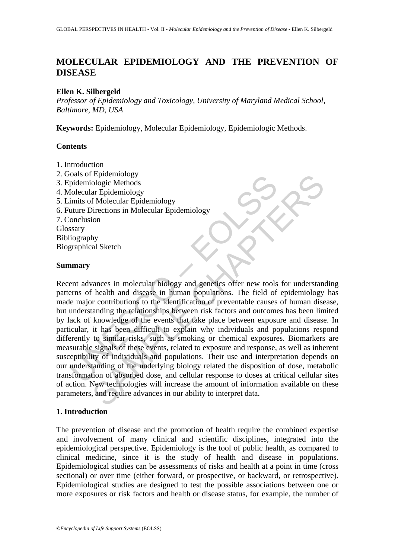# **MOLECULAR EPIDEMIOLOGY AND THE PREVENTION OF DISEASE**

#### **Ellen K. Silbergeld**

*Professor of Epidemiology and Toxicology, University of Maryland Medical School, Baltimore, MD, USA* 

**Keywords:** Epidemiology, Molecular Epidemiology, Epidemiologic Methods.

## **Contents**

- 1. Introduction
- 2. Goals of Epidemiology
- 3. Epidemiologic Methods
- 4. Molecular Epidemiology
- 5. Limits of Molecular Epidemiology
- 6. Future Directions in Molecular Epidemiology

7. Conclusion Glossary Bibliography

Biographical Sketch

#### **Summary**

Figure and Explores and Explores and Consumer of the medical spidemiologic Methods<br>
folecular Epidemiology<br>
imits of Molecular Epidemiology<br>
imits of Molecular Epidemiology<br>
stary<br>
stary<br>
graphical Sketch<br> **marry**<br>
ent adv Epidemiology<br>
endentical and Epidemiology<br>
ologic Methods<br>
ar Epidemiology<br>
of Molecular Epidemiology<br>
ion<br>
ion<br>
ion<br>
by<br>
y<br>
y<br>
sal Sketch<br>
commodial Sketch<br>
commodial Sketch<br>
commodial Sketch<br>
commodial Sketch<br>
commodial Recent advances in molecular biology and genetics offer new tools for understanding patterns of health and disease in human populations. The field of epidemiology has made major contributions to the identification of preventable causes of human disease, but understanding the relationships between risk factors and outcomes has been limited by lack of knowledge of the events that take place between exposure and disease. In particular, it has been difficult to explain why individuals and populations respond differently to similar risks, such as smoking or chemical exposures. Biomarkers are measurable signals of these events, related to exposure and response, as well as inherent susceptibility of individuals and populations. Their use and interpretation depends on our understanding of the underlying biology related the disposition of dose, metabolic transformation of absorbed dose, and cellular response to doses at critical cellular sites of action. New technologies will increase the amount of information available on these parameters, and require advances in our ability to interpret data.

## **1. Introduction**

The prevention of disease and the promotion of health require the combined expertise and involvement of many clinical and scientific disciplines, integrated into the epidemiological perspective. Epidemiology is the tool of public health, as compared to clinical medicine, since it is the study of health and disease in populations. Epidemiological studies can be assessments of risks and health at a point in time (cross sectional) or over time (either forward, or prospective, or backward, or retrospective). Epidemiological studies are designed to test the possible associations between one or more exposures or risk factors and health or disease status, for example, the number of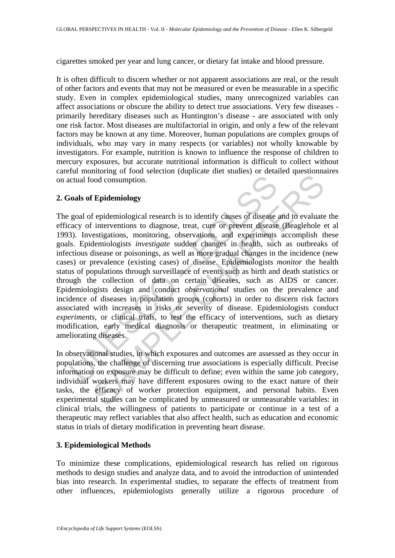cigarettes smoked per year and lung cancer, or dietary fat intake and blood pressure.

It is often difficult to discern whether or not apparent associations are real, or the result of other factors and events that may not be measured or even be measurable in a specific study. Even in complex epidemiological studies, many unrecognized variables can affect associations or obscure the ability to detect true associations. Very few diseases primarily hereditary diseases such as Huntington's disease - are associated with only one risk factor. Most diseases are multifactorial in origin, and only a few of the relevant factors may be known at any time. Moreover, human populations are complex groups of individuals, who may vary in many respects (or variables) not wholly knowable by investigators. For example, nutrition is known to influence the response of children to mercury exposures, but accurate nutritional information is difficult to collect without careful monitoring of food selection (duplicate diet studies) or detailed questionnaires on actual food consumption.

#### **2. Goals of Epidemiology**

colaries of Epidemiology<br>
soals of Epidemiology<br>
soals of Epidemiology<br>
goal of epidemiological research is to identify causes of disease<br>
acay of interventions to diagnose, treat, cure or prevent disease<br>
3). Investigatio For example the consumption.<br> **SAMPLE CONTEXT CONTEXT CONTEXT AND THEOTEM** CONDIG CONSUMPTED THE prior enterpret of the priority interventions to diagnose, treat, cure or prevent disease and to evaluate interventions to di The goal of epidemiological research is to identify causes of disease and to evaluate the efficacy of interventions to diagnose, treat, cure or prevent disease (Beaglehole et al 1993). Investigations, monitoring, observations, and experiments accomplish these goals. Epidemiologists *investigate* sudden changes in health, such as outbreaks of infectious disease or poisonings, as well as more gradual changes in the incidence (new cases) or prevalence (existing cases) of disease. Epidemiologists *monitor* the health status of populations through surveillance of events such as birth and death statistics or through the collection of data on certain diseases, such as AIDS or cancer. Epidemiologists design and conduct *observational* studies on the prevalence and incidence of diseases in population groups (cohorts) in order to discern risk factors associated with increases in risks or severity of disease. Epidemiologists conduct *experiments*, or clinical trials, to test the efficacy of interventions, such as dietary modification, early medical diagnosis or therapeutic treatment, in eliminating or ameliorating diseases.

In observational studies, in which exposures and outcomes are assessed as they occur in populations, the challenge of discerning true associations is especially difficult. Precise information on exposure may be difficult to define; even within the same job category, individual workers may have different exposures owing to the exact nature of their tasks, the efficacy of worker protection equipment, and personal habits. Even experimental studies can be complicated by unmeasured or unmeasurable variables: in clinical trials, the willingness of patients to participate or continue in a test of a therapeutic may reflect variables that also affect health, such as education and economic status in trials of dietary modification in preventing heart disease.

#### **3. Epidemiological Methods**

To minimize these complications, epidemiological research has relied on rigorous methods to design studies and analyze data, and to avoid the introduction of unintended bias into research. In experimental studies, to separate the effects of treatment from other influences, epidemiologists generally utilize a rigorous procedure of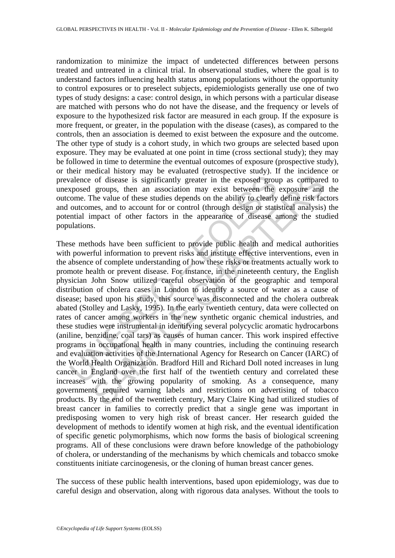randomization to minimize the impact of undetected differences between persons treated and untreated in a clinical trial. In observational studies, where the goal is to understand factors influencing health status among populations without the opportunity to control exposures or to preselect subjects, epidemiologists generally use one of two types of study designs: a case: control design, in which persons with a particular disease are matched with persons who do not have the disease, and the frequency or levels of exposure to the hypothesized risk factor are measured in each group. If the exposure is more frequent, or greater, in the population with the disease (cases), as compared to the controls, then an association is deemed to exist between the exposure and the outcome. The other type of study is a cohort study, in which two groups are selected based upon exposure. They may be evaluated at one point in time (cross sectional study); they may be followed in time to determine the eventual outcomes of exposure (prospective study), or their medical history may be evaluated (retrospective study). If the incidence or prevalence of disease is significantly greater in the exposed group as compared to unexposed groups, then an association may exist between the exposure and the outcome. The value of these studies depends on the ability to clearly define risk factors and outcomes, and to account for or control (through design or statistical analysis) the potential impact of other factors in the appearance of disease among the studied populations.

ralence of disease is significantly greater in the exposed group<br>sposed groups, then an association may exist between the<br>come. The value of these studies depends on the ability to clearly<br>outcomes, and to account for or c of disease is significantly greater in the exposed group as compare<br>groups, then an association may exist between the exposure and<br>the value of these studies depends on the ability to clearly define risk fac<br>mes, and to ac These methods have been sufficient to provide public health and medical authorities with powerful information to prevent risks and institute effective interventions, even in the absence of complete understanding of how these risks or treatments actually work to promote health or prevent disease. For instance, in the nineteenth century, the English physician John Snow utilized careful observation of the geographic and temporal distribution of cholera cases in London to identify a source of water as a cause of disease; based upon his study, this source was disconnected and the cholera outbreak abated (Stolley and Lasky, 1995). In the early twentieth century, data were collected on rates of cancer among workers in the new synthetic organic chemical industries, and these studies were instrumental in identifying several polycyclic aromatic hydrocarbons (aniline, benzidine, coal tars) as causes of human cancer. This work inspired effective programs in occupational health in many countries, including the continuing research and evaluation activities of the International Agency for Research on Cancer (IARC) of the World Health Organization. Bradford Hill and Richard Doll noted increases in lung cancer in England over the first half of the twentieth century and correlated these increases with the growing popularity of smoking. As a consequence, many governments required warning labels and restrictions on advertising of tobacco products. By the end of the twentieth century, Mary Claire King had utilized studies of breast cancer in families to correctly predict that a single gene was important in predisposing women to very high risk of breast cancer. Her research guided the development of methods to identify women at high risk, and the eventual identification of specific genetic polymorphisms, which now forms the basis of biological screening programs. All of these conclusions were drawn before knowledge of the pathobiology of cholera, or understanding of the mechanisms by which chemicals and tobacco smoke constituents initiate carcinogenesis, or the cloning of human breast cancer genes.

The success of these public health interventions, based upon epidemiology, was due to careful design and observation, along with rigorous data analyses. Without the tools to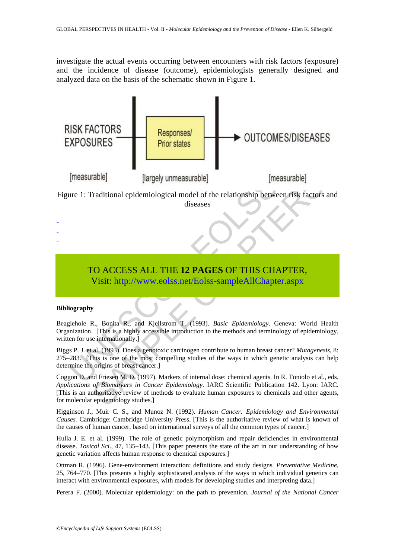investigate the actual events occurring between encounters with risk factors (exposure) and the incidence of disease (outcome), epidemiologists generally designed and analyzed data on the basis of the schematic shown in Figure 1.



# TO ACCESS ALL THE **12 PAGES** OF THIS CHAPTER,

Visit: http://www.eolss.net/Eolss-sampleAllChapter.aspx

#### **Bibliography**

- -

Beaglehole R., Bonita R., and Kjellstrom T. (1993). *Basic Epidemiology*. Geneva: World Health Organization. [This is a highly accessible introduction to the methods and terminology of epidemiology, written for use internationally.]

Biggs P. J. et al. (1993). Does a genotoxic carcinogen contribute to human breast cancer? *Mutagenesis*, 8: 275–283. [This is one of the most compelling studies of the ways in which genetic analysis can help determine the origins of breast cancer.]

Coggon D. and Friesen M. D. (1997). Markers of internal dose: chemical agents. In R. Toniolo et al., eds. *Applications of Biomarkers in Cancer Epidemiology*. IARC Scientific Publication 142. Lyon: IARC. [This is an authoritative review of methods to evaluate human exposures to chemicals and other agents, for molecular epidemiology studies.]

Higginson J., Muir C. S., and Munoz N. (1992). *Human Cancer: Epidemiology and Environmental Causes.* Cambridge: Cambridge University Press. [This is the authoritative review of what is known of the causes of human cancer, based on international surveys of all the common types of cancer.]

Hulla J. E. et al. (1999). The role of genetic polymorphism and repair deficiencies in environmental disease. *Toxicol Sci*., 47, 135–143. [This paper presents the state of the art in our understanding of how genetic variation affects human response to chemical exposures.]

Ottman R. (1996). Gene-environment interaction: definitions and study designs*. Preventative Medicine*, 25, 764–770. [This presents a highly sophisticated analysis of the ways in which individual genetics can interact with environmental exposures, with models for developing studies and interpreting data.]

Perera F. (2000). Molecular epidemiology: on the path to prevention*. Journal of the National Cancer*